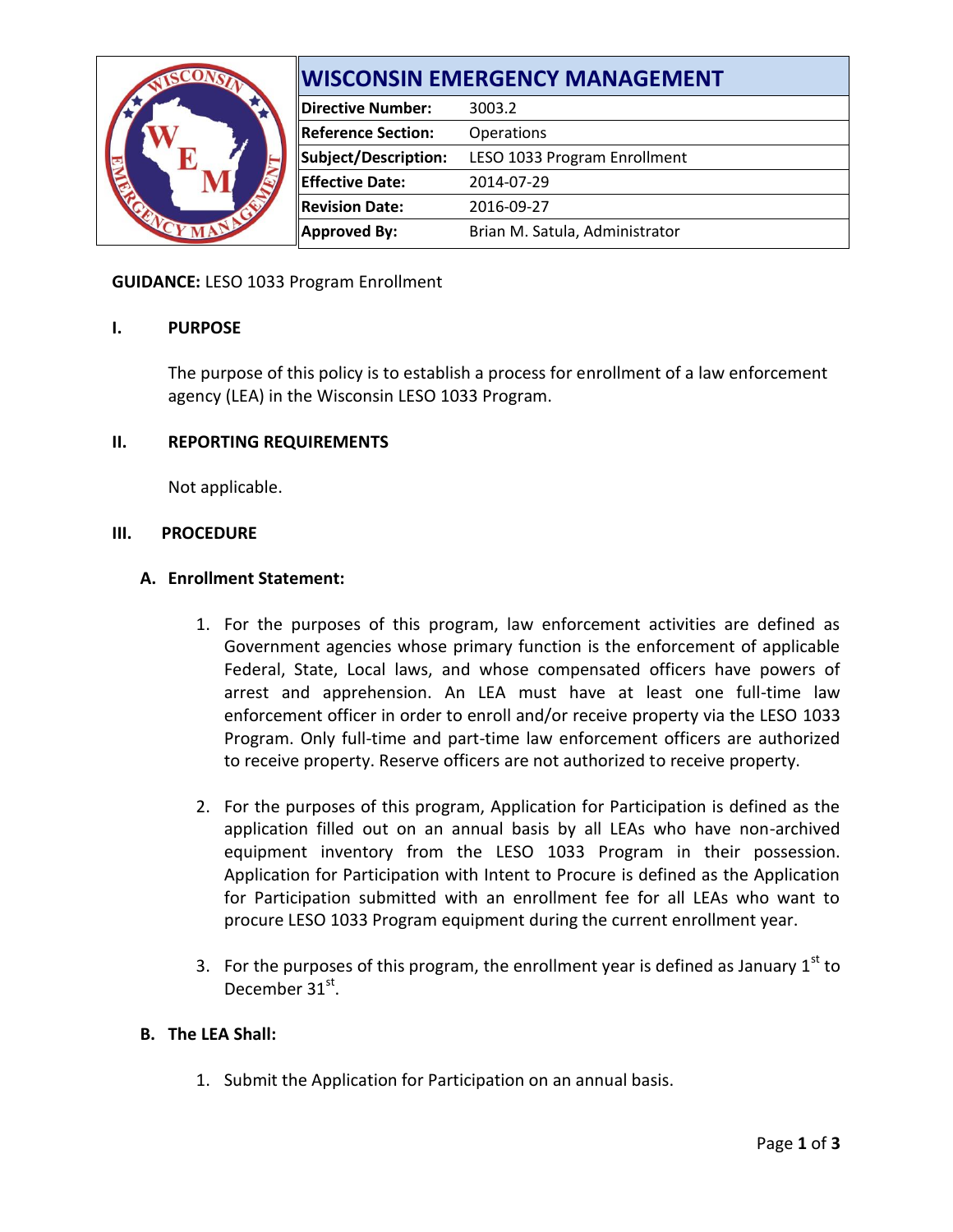|  | <b>IWISCONSIN EMERGENCY MANAGEMENT</b> |                                |
|--|----------------------------------------|--------------------------------|
|  | Directive Number:                      | 3003.2                         |
|  | <b>Reference Section:</b>              | <b>Operations</b>              |
|  | Subject/Description:                   | LESO 1033 Program Enrollment   |
|  | <b>Effective Date:</b>                 | 2014-07-29                     |
|  | <b>Revision Date:</b>                  | 2016-09-27                     |
|  | <b>Approved By:</b>                    | Brian M. Satula, Administrator |

# **GUIDANCE:** LESO 1033 Program Enrollment

#### **I. PURPOSE**

The purpose of this policy is to establish a process for enrollment of a law enforcement agency (LEA) in the Wisconsin LESO 1033 Program.

## **II. REPORTING REQUIREMENTS**

Not applicable.

#### **III. PROCEDURE**

## **A. Enrollment Statement:**

- 1. For the purposes of this program, law enforcement activities are defined as Government agencies whose primary function is the enforcement of applicable Federal, State, Local laws, and whose compensated officers have powers of arrest and apprehension. An LEA must have at least one full-time law enforcement officer in order to enroll and/or receive property via the LESO 1033 Program. Only full-time and part-time law enforcement officers are authorized to receive property. Reserve officers are not authorized to receive property.
- 2. For the purposes of this program, Application for Participation is defined as the application filled out on an annual basis by all LEAs who have non-archived equipment inventory from the LESO 1033 Program in their possession. Application for Participation with Intent to Procure is defined as the Application for Participation submitted with an enrollment fee for all LEAs who want to procure LESO 1033 Program equipment during the current enrollment year.
- 3. For the purposes of this program, the enrollment year is defined as January  $1<sup>st</sup>$  to December 31<sup>st</sup>.

#### **B. The LEA Shall:**

1. Submit the Application for Participation on an annual basis.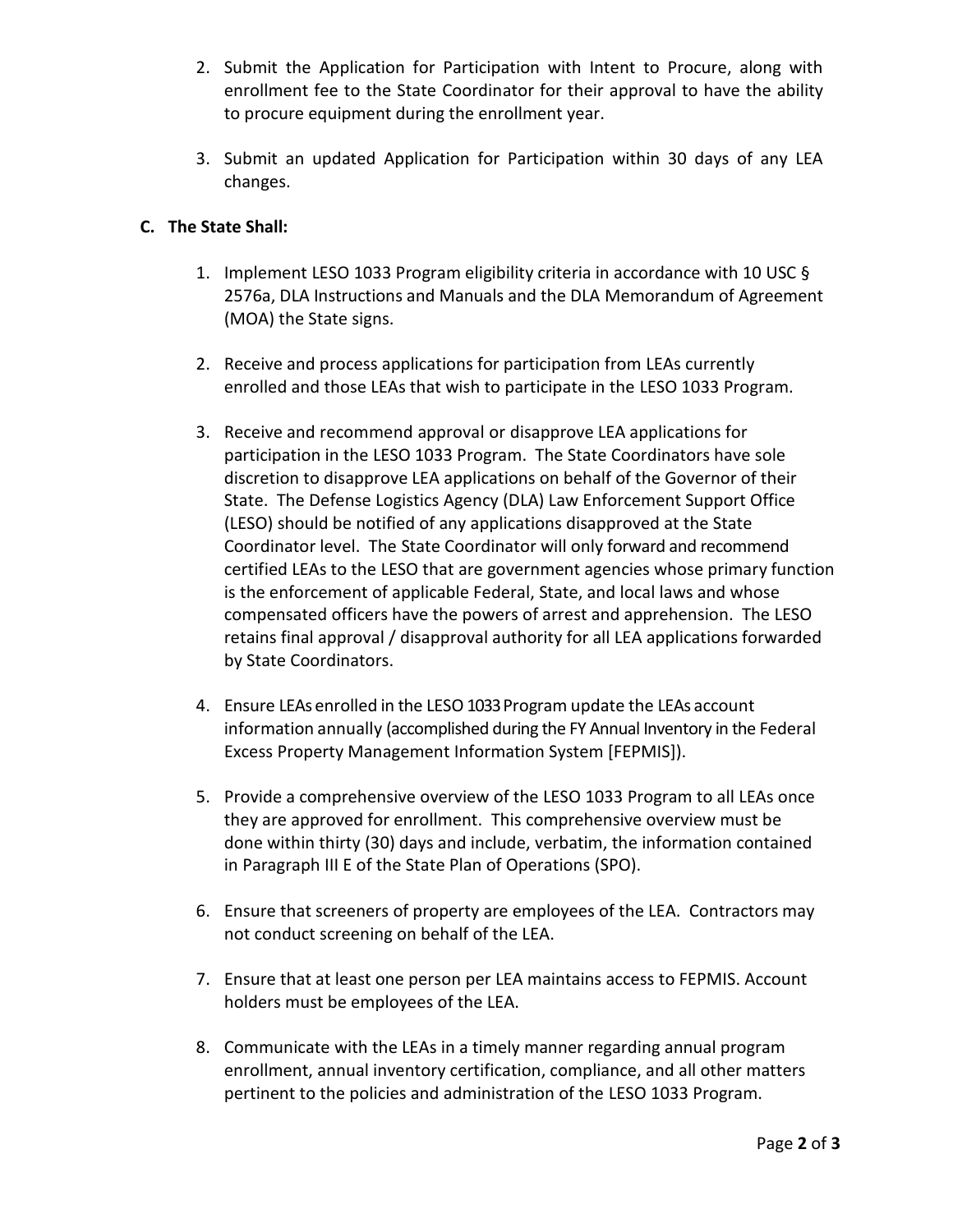- 2. Submit the Application for Participation with Intent to Procure, along with enrollment fee to the State Coordinator for their approval to have the ability to procure equipment during the enrollment year.
- 3. Submit an updated Application for Participation within 30 days of any LEA changes.

# **C. The State Shall:**

- 1. Implement LESO 1033 Program eligibility criteria in accordance with 10 USC § 2576a, DLA Instructions and Manuals and the DLA Memorandum of Agreement (MOA) the State signs.
- 2. Receive and process applications for participation from LEAs currently enrolled and those LEAs that wish to participate in the LESO 1033 Program.
- 3. Receive and recommend approval or disapprove LEA applications for participation in the LESO 1033 Program. The State Coordinators have sole discretion to disapprove LEA applications on behalf of the Governor of their State. The Defense Logistics Agency (DLA) Law Enforcement Support Office (LESO) should be notified of any applications disapproved at the State Coordinator level. The State Coordinator will only forward and recommend certified LEAs to the LESO that are government agencies whose primary function is the enforcement of applicable Federal, State, and local laws and whose compensated officers have the powers of arrest and apprehension. The LESO retains final approval / disapproval authority for all LEA applications forwarded by State Coordinators.
- 4. Ensure LEAs enrolled in the LESO 1033 Program update the LEAs account information annually (accomplished during the FY Annual Inventory in the Federal Excess Property Management Information System [FEPMIS]).
- 5. Provide a comprehensive overview of the LESO 1033 Program to all LEAs once they are approved for enrollment. This comprehensive overview must be done within thirty (30) days and include, verbatim, the information contained in Paragraph III E of the State Plan of Operations (SPO).
- 6. Ensure that screeners of property are employees of the LEA. Contractors may not conduct screening on behalf of the LEA.
- 7. Ensure that at least one person per LEA maintains access to FEPMIS. Account holders must be employees of the LEA.
- 8. Communicate with the LEAs in a timely manner regarding annual program enrollment, annual inventory certification, compliance, and all other matters pertinent to the policies and administration of the LESO 1033 Program.